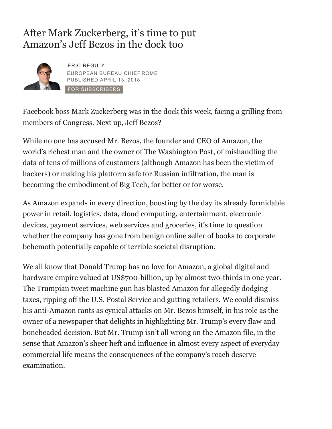## After Mark Zuckerberg, it's time to put Amazon's Jeff Bezos in the dock too



ERIC REGULY EUROPEAN BUREAU CHIEF ROME PUBLISHED APRIL 13, 2018 FOR SUBSCRIBERS

Facebook bos[s Mark Zuckerberg was in the dock this week,](https://www.theglobeandmail.com/authors/eric-reguly/) facing a grilling from members of Congress. Next up, Jeff Bezos?

While no one has accused Mr. Bezos, the founder and CEO of Amazon, the world's richest man and the owner of The Washington Post, of mishandling the data of tens of millions of customers (although Amazon has been the victim of hackers) or making his platform safe for Russian infiltration, the man is becoming the embodiment of Big Tech, for better or for worse.

As Amazon expands in every direction, boosting by the day its already formidable power in retail, logistics, data, cloud computing, entertainment, electronic devices, payment services, web services and groceries, it's time to question whether the company has gone from benign online seller of books to corporate behemoth potentially capable of terrible societal disruption.

We all know that Donald Trump has no love for Amazon, a global digital and hardware empire valued at US\$700-billion, up by almost two-thirds in one year. The Trumpian tweet machine gun has blasted Amazon for allegedly dodging taxes, ripping off the U.S. Postal Service and gutting retailers. We could dismiss his anti-Amazon rants as cynical attacks on Mr. Bezos himself, in his role as the owner of a newspaper that delights in highlighting Mr. Trump's every flaw and boneheaded decision. But Mr. Trump isn't all wrong on the Amazon file, in the sense that Amazon's sheer heft and influence in almost every aspect of everyday commercial life means the consequences of the company's reach deserve examination.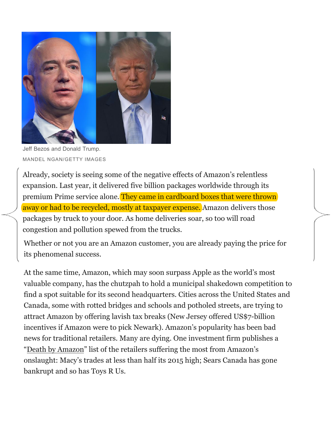

Jeff Bezos and Donald Trump. MANDEL NGAN/GETTY IMAGES

Already, society is seeing some of the negative effects of Amazon's relentless expansion. Last year, it delivered five billion packages worldwide through its premium Prime service alone. They came in cardboard boxes that were thrown away or had to be recycled, mostly at taxpayer expense. Amazon delivers those packages by truck to your door. As home deliveries soar, so too will road congestion and pollution spewed from the trucks.

Whether or not you are an Amazon customer, you are already paying the price for its phenomenal success.

At the same time, Amazon, which may soon surpass Apple as the world's most valuable company, has the chutzpah to hold a municipal shakedown competition to find a spot suitable for its second headquarters. Cities across the United States and Canada, some with rotted bridges and schools and potholed streets, are trying to attract Amazon by offering lavish tax breaks (New Jersey offered US\$7-billion incentives if Amazon were to pick Newark). Amazon's popularity has been bad news for traditional retailers. Many are dying. One investment firm publishes a "Death by Amazon" list of the retailers suffering the most from Amazon's onslaught: Macy's trades at less than half its 2015 high; Sears Canada has gone bankrupt and so has Toys R Us.